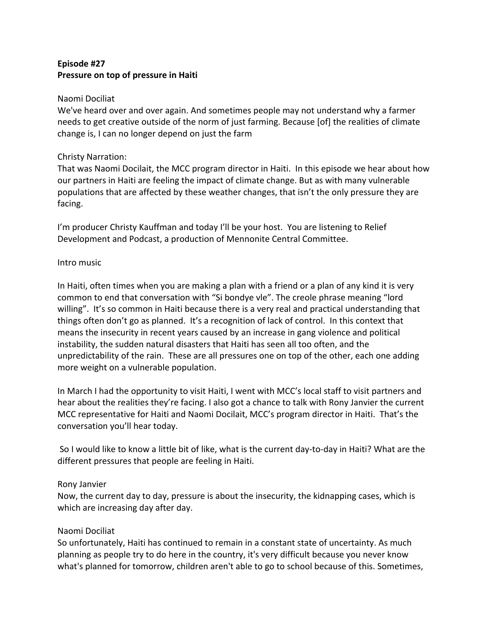# **Episode #27 Pressure on top of pressure in Haiti**

#### Naomi Dociliat

We've heard over and over again. And sometimes people may not understand why a farmer needs to get creative outside of the norm of just farming. Because [of] the realities of climate change is, I can no longer depend on just the farm

### Christy Narration:

That was Naomi Docilait, the MCC program director in Haiti. In this episode we hear about how our partners in Haiti are feeling the impact of climate change. But as with many vulnerable populations that are affected by these weather changes, that isn't the only pressure they are facing.

I'm producer Christy Kauffman and today I'll be your host. You are listening to Relief Development and Podcast, a production of Mennonite Central Committee.

### Intro music

In Haiti, often times when you are making a plan with a friend or a plan of any kind it is very common to end that conversation with "Si bondye vle". The creole phrase meaning "lord willing". It's so common in Haiti because there is a very real and practical understanding that things often don't go as planned. It's a recognition of lack of control. In this context that means the insecurity in recent years caused by an increase in gang violence and political instability, the sudden natural disasters that Haiti has seen all too often, and the unpredictability of the rain. These are all pressures one on top of the other, each one adding more weight on a vulnerable population.

In March I had the opportunity to visit Haiti, I went with MCC's local staff to visit partners and hear about the realities they're facing. I also got a chance to talk with Rony Janvier the current MCC representative for Haiti and Naomi Docilait, MCC's program director in Haiti. That's the conversation you'll hear today.

So I would like to know a little bit of like, what is the current day-to-day in Haiti? What are the different pressures that people are feeling in Haiti.

### Rony Janvier

Now, the current day to day, pressure is about the insecurity, the kidnapping cases, which is which are increasing day after day.

### Naomi Dociliat

So unfortunately, Haiti has continued to remain in a constant state of uncertainty. As much planning as people try to do here in the country, it's very difficult because you never know what's planned for tomorrow, children aren't able to go to school because of this. Sometimes,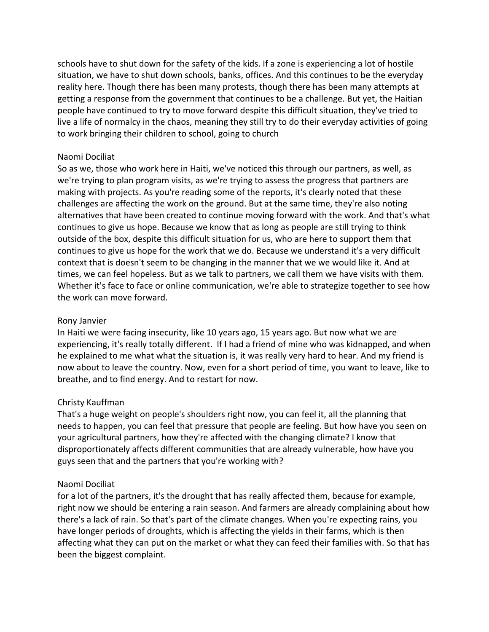schools have to shut down for the safety of the kids. If a zone is experiencing a lot of hostile situation, we have to shut down schools, banks, offices. And this continues to be the everyday reality here. Though there has been many protests, though there has been many attempts at getting a response from the government that continues to be a challenge. But yet, the Haitian people have continued to try to move forward despite this difficult situation, they've tried to live a life of normalcy in the chaos, meaning they still try to do their everyday activities of going to work bringing their children to school, going to church

### Naomi Dociliat

So as we, those who work here in Haiti, we've noticed this through our partners, as well, as we're trying to plan program visits, as we're trying to assess the progress that partners are making with projects. As you're reading some of the reports, it's clearly noted that these challenges are affecting the work on the ground. But at the same time, they're also noting alternatives that have been created to continue moving forward with the work. And that's what continues to give us hope. Because we know that as long as people are still trying to think outside of the box, despite this difficult situation for us, who are here to support them that continues to give us hope for the work that we do. Because we understand it's a very difficult context that is doesn't seem to be changing in the manner that we we would like it. And at times, we can feel hopeless. But as we talk to partners, we call them we have visits with them. Whether it's face to face or online communication, we're able to strategize together to see how the work can move forward.

### Rony Janvier

In Haiti we were facing insecurity, like 10 years ago, 15 years ago. But now what we are experiencing, it's really totally different. If I had a friend of mine who was kidnapped, and when he explained to me what what the situation is, it was really very hard to hear. And my friend is now about to leave the country. Now, even for a short period of time, you want to leave, like to breathe, and to find energy. And to restart for now.

# Christy Kauffman

That's a huge weight on people's shoulders right now, you can feel it, all the planning that needs to happen, you can feel that pressure that people are feeling. But how have you seen on your agricultural partners, how they're affected with the changing climate? I know that disproportionately affects different communities that are already vulnerable, how have you guys seen that and the partners that you're working with?

# Naomi Dociliat

for a lot of the partners, it's the drought that has really affected them, because for example, right now we should be entering a rain season. And farmers are already complaining about how there's a lack of rain. So that's part of the climate changes. When you're expecting rains, you have longer periods of droughts, which is affecting the yields in their farms, which is then affecting what they can put on the market or what they can feed their families with. So that has been the biggest complaint.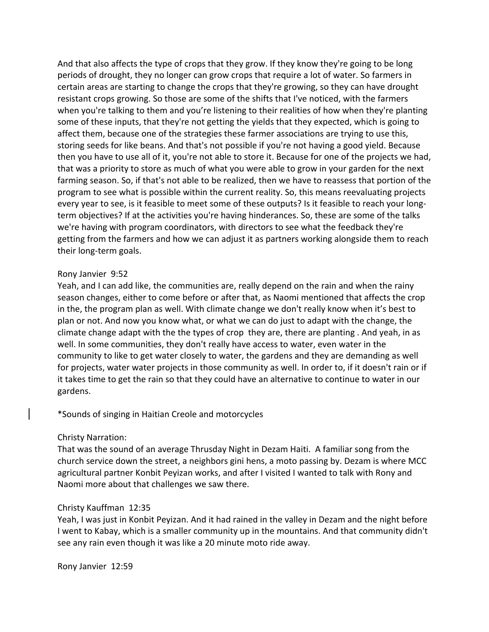And that also affects the type of crops that they grow. If they know they're going to be long periods of drought, they no longer can grow crops that require a lot of water. So farmers in certain areas are starting to change the crops that they're growing, so they can have drought resistant crops growing. So those are some of the shifts that I've noticed, with the farmers when you're talking to them and you're listening to their realities of how when they're planting some of these inputs, that they're not getting the yields that they expected, which is going to affect them, because one of the strategies these farmer associations are trying to use this, storing seeds for like beans. And that's not possible if you're not having a good yield. Because then you have to use all of it, you're not able to store it. Because for one of the projects we had, that was a priority to store as much of what you were able to grow in your garden for the next farming season. So, if that's not able to be realized, then we have to reassess that portion of the program to see what is possible within the current reality. So, this means reevaluating projects every year to see, is it feasible to meet some of these outputs? Is it feasible to reach your longterm objectives? If at the activities you're having hinderances. So, these are some of the talks we're having with program coordinators, with directors to see what the feedback they're getting from the farmers and how we can adjust it as partners working alongside them to reach their long-term goals.

### Rony Janvier 9:52

Yeah, and I can add like, the communities are, really depend on the rain and when the rainy season changes, either to come before or after that, as Naomi mentioned that affects the crop in the, the program plan as well. With climate change we don't really know when it's best to plan or not. And now you know what, or what we can do just to adapt with the change, the climate change adapt with the the types of crop they are, there are planting . And yeah, in as well. In some communities, they don't really have access to water, even water in the community to like to get water closely to water, the gardens and they are demanding as well for projects, water water projects in those community as well. In order to, if it doesn't rain or if it takes time to get the rain so that they could have an alternative to continue to water in our gardens.

\*Sounds of singing in Haitian Creole and motorcycles

### Christy Narration:

That was the sound of an average Thrusday Night in Dezam Haiti. A familiar song from the church service down the street, a neighbors gini hens, a moto passing by. Dezam is where MCC agricultural partner Konbit Peyizan works, and after I visited I wanted to talk with Rony and Naomi more about that challenges we saw there.

### Christy Kauffman 12:35

Yeah, I was just in Konbit Peyizan. And it had rained in the valley in Dezam and the night before I went to Kabay, which is a smaller community up in the mountains. And that community didn't see any rain even though it was like a 20 minute moto ride away.

Rony Janvier 12:59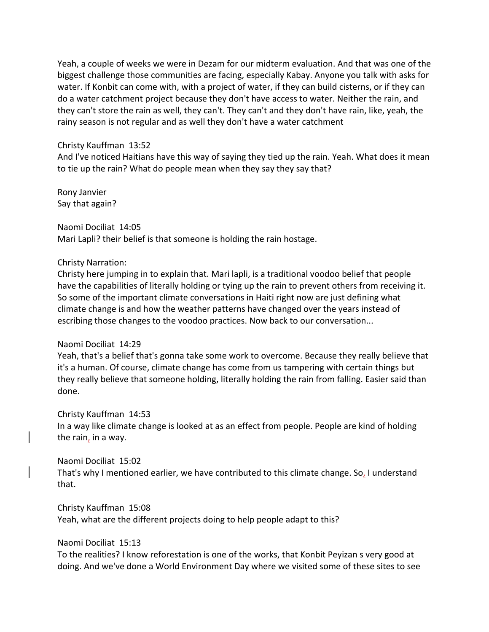Yeah, a couple of weeks we were in Dezam for our midterm evaluation. And that was one of the biggest challenge those communities are facing, especially Kabay. Anyone you talk with asks for water. If Konbit can come with, with a project of water, if they can build cisterns, or if they can do a water catchment project because they don't have access to water. Neither the rain, and they can't store the rain as well, they can't. They can't and they don't have rain, like, yeah, the rainy season is not regular and as well they don't have a water catchment

#### Christy Kauffman 13:52

And I've noticed Haitians have this way of saying they tied up the rain. Yeah. What does it mean to tie up the rain? What do people mean when they say they say that?

Rony Janvier Say that again?

Naomi Dociliat 14:05 Mari Lapli? their belief is that someone is holding the rain hostage.

#### Christy Narration:

Christy here jumping in to explain that. Mari lapli, is a traditional voodoo belief that people have the capabilities of literally holding or tying up the rain to prevent others from receiving it. So some of the important climate conversations in Haiti right now are just defining what climate change is and how the weather patterns have changed over the years instead of escribing those changes to the voodoo practices. Now back to our conversation...

### Naomi Dociliat 14:29

Yeah, that's a belief that's gonna take some work to overcome. Because they really believe that it's a human. Of course, climate change has come from us tampering with certain things but they really believe that someone holding, literally holding the rain from falling. Easier said than done.

### Christy Kauffman 14:53

In a way like climate change is looked at as an effect from people. People are kind of holding the rain, in a way.

### Naomi Dociliat 15:02

That's why I mentioned earlier, we have contributed to this climate change. So, I understand that.

Christy Kauffman 15:08

Yeah, what are the different projects doing to help people adapt to this?

Naomi Dociliat 15:13

To the realities? I know reforestation is one of the works, that Konbit Peyizan s very good at doing. And we've done a World Environment Day where we visited some of these sites to see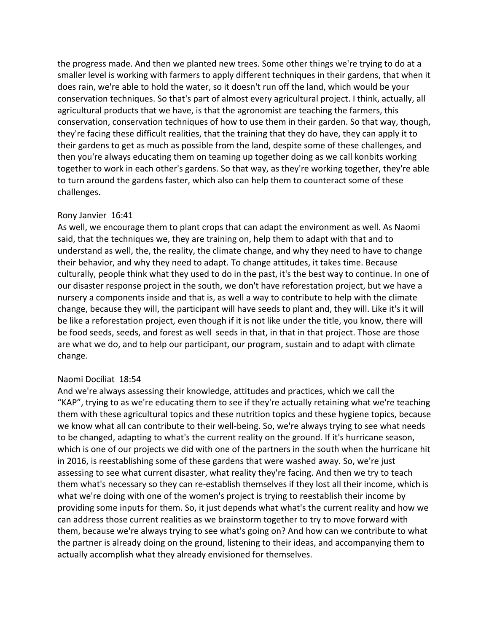the progress made. And then we planted new trees. Some other things we're trying to do at a smaller level is working with farmers to apply different techniques in their gardens, that when it does rain, we're able to hold the water, so it doesn't run off the land, which would be your conservation techniques. So that's part of almost every agricultural project. I think, actually, all agricultural products that we have, is that the agronomist are teaching the farmers, this conservation, conservation techniques of how to use them in their garden. So that way, though, they're facing these difficult realities, that the training that they do have, they can apply it to their gardens to get as much as possible from the land, despite some of these challenges, and then you're always educating them on teaming up together doing as we call konbits working together to work in each other's gardens. So that way, as they're working together, they're able to turn around the gardens faster, which also can help them to counteract some of these challenges.

### Rony Janvier 16:41

As well, we encourage them to plant crops that can adapt the environment as well. As Naomi said, that the techniques we, they are training on, help them to adapt with that and to understand as well, the, the reality, the climate change, and why they need to have to change their behavior, and why they need to adapt. To change attitudes, it takes time. Because culturally, people think what they used to do in the past, it's the best way to continue. In one of our disaster response project in the south, we don't have reforestation project, but we have a nursery a components inside and that is, as well a way to contribute to help with the climate change, because they will, the participant will have seeds to plant and, they will. Like it's it will be like a reforestation project, even though if it is not like under the title, you know, there will be food seeds, seeds, and forest as well seeds in that, in that in that project. Those are those are what we do, and to help our participant, our program, sustain and to adapt with climate change.

### Naomi Dociliat 18:54

And we're always assessing their knowledge, attitudes and practices, which we call the "KAP", trying to as we're educating them to see if they're actually retaining what we're teaching them with these agricultural topics and these nutrition topics and these hygiene topics, because we know what all can contribute to their well-being. So, we're always trying to see what needs to be changed, adapting to what's the current reality on the ground. If it's hurricane season, which is one of our projects we did with one of the partners in the south when the hurricane hit in 2016, is reestablishing some of these gardens that were washed away. So, we're just assessing to see what current disaster, what reality they're facing. And then we try to teach them what's necessary so they can re-establish themselves if they lost all their income, which is what we're doing with one of the women's project is trying to reestablish their income by providing some inputs for them. So, it just depends what what's the current reality and how we can address those current realities as we brainstorm together to try to move forward with them, because we're always trying to see what's going on? And how can we contribute to what the partner is already doing on the ground, listening to their ideas, and accompanying them to actually accomplish what they already envisioned for themselves.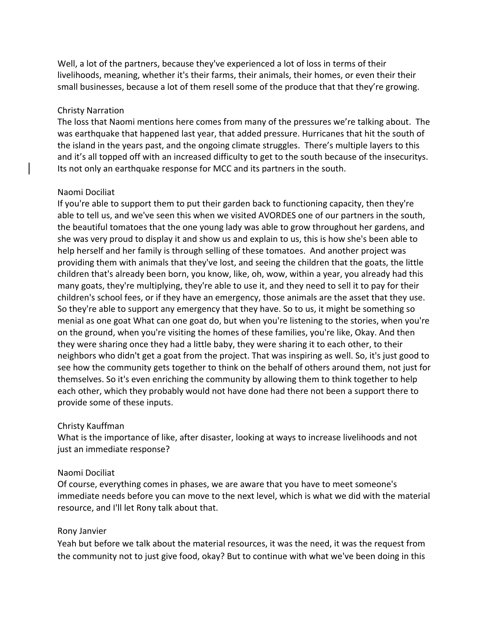Well, a lot of the partners, because they've experienced a lot of loss in terms of their livelihoods, meaning, whether it's their farms, their animals, their homes, or even their their small businesses, because a lot of them resell some of the produce that that they're growing.

### Christy Narration

The loss that Naomi mentions here comes from many of the pressures we're talking about. The was earthquake that happened last year, that added pressure. Hurricanes that hit the south of the island in the years past, and the ongoing climate struggles. There's multiple layers to this and it's all topped off with an increased difficulty to get to the south because of the insecuritys. Its not only an earthquake response for MCC and its partners in the south.

### Naomi Dociliat

If you're able to support them to put their garden back to functioning capacity, then they're able to tell us, and we've seen this when we visited AVORDES one of our partners in the south, the beautiful tomatoes that the one young lady was able to grow throughout her gardens, and she was very proud to display it and show us and explain to us, this is how she's been able to help herself and her family is through selling of these tomatoes. And another project was providing them with animals that they've lost, and seeing the children that the goats, the little children that's already been born, you know, like, oh, wow, within a year, you already had this many goats, they're multiplying, they're able to use it, and they need to sell it to pay for their children's school fees, or if they have an emergency, those animals are the asset that they use. So they're able to support any emergency that they have. So to us, it might be something so menial as one goat What can one goat do, but when you're listening to the stories, when you're on the ground, when you're visiting the homes of these families, you're like, Okay. And then they were sharing once they had a little baby, they were sharing it to each other, to their neighbors who didn't get a goat from the project. That was inspiring as well. So, it's just good to see how the community gets together to think on the behalf of others around them, not just for themselves. So it's even enriching the community by allowing them to think together to help each other, which they probably would not have done had there not been a support there to provide some of these inputs.

# Christy Kauffman

What is the importance of like, after disaster, looking at ways to increase livelihoods and not just an immediate response?

# Naomi Dociliat

Of course, everything comes in phases, we are aware that you have to meet someone's immediate needs before you can move to the next level, which is what we did with the material resource, and I'll let Rony talk about that.

# Rony Janvier

Yeah but before we talk about the material resources, it was the need, it was the request from the community not to just give food, okay? But to continue with what we've been doing in this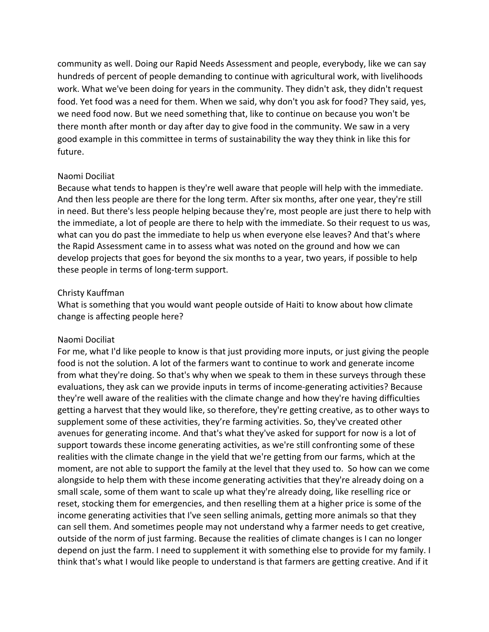community as well. Doing our Rapid Needs Assessment and people, everybody, like we can say hundreds of percent of people demanding to continue with agricultural work, with livelihoods work. What we've been doing for years in the community. They didn't ask, they didn't request food. Yet food was a need for them. When we said, why don't you ask for food? They said, yes, we need food now. But we need something that, like to continue on because you won't be there month after month or day after day to give food in the community. We saw in a very good example in this committee in terms of sustainability the way they think in like this for future.

#### Naomi Dociliat

Because what tends to happen is they're well aware that people will help with the immediate. And then less people are there for the long term. After six months, after one year, they're still in need. But there's less people helping because they're, most people are just there to help with the immediate, a lot of people are there to help with the immediate. So their request to us was, what can you do past the immediate to help us when everyone else leaves? And that's where the Rapid Assessment came in to assess what was noted on the ground and how we can develop projects that goes for beyond the six months to a year, two years, if possible to help these people in terms of long-term support.

#### Christy Kauffman

What is something that you would want people outside of Haiti to know about how climate change is affecting people here?

### Naomi Dociliat

For me, what I'd like people to know is that just providing more inputs, or just giving the people food is not the solution. A lot of the farmers want to continue to work and generate income from what they're doing. So that's why when we speak to them in these surveys through these evaluations, they ask can we provide inputs in terms of income-generating activities? Because they're well aware of the realities with the climate change and how they're having difficulties getting a harvest that they would like, so therefore, they're getting creative, as to other ways to supplement some of these activities, they're farming activities. So, they've created other avenues for generating income. And that's what they've asked for support for now is a lot of support towards these income generating activities, as we're still confronting some of these realities with the climate change in the yield that we're getting from our farms, which at the moment, are not able to support the family at the level that they used to. So how can we come alongside to help them with these income generating activities that they're already doing on a small scale, some of them want to scale up what they're already doing, like reselling rice or reset, stocking them for emergencies, and then reselling them at a higher price is some of the income generating activities that I've seen selling animals, getting more animals so that they can sell them. And sometimes people may not understand why a farmer needs to get creative, outside of the norm of just farming. Because the realities of climate changes is I can no longer depend on just the farm. I need to supplement it with something else to provide for my family. I think that's what I would like people to understand is that farmers are getting creative. And if it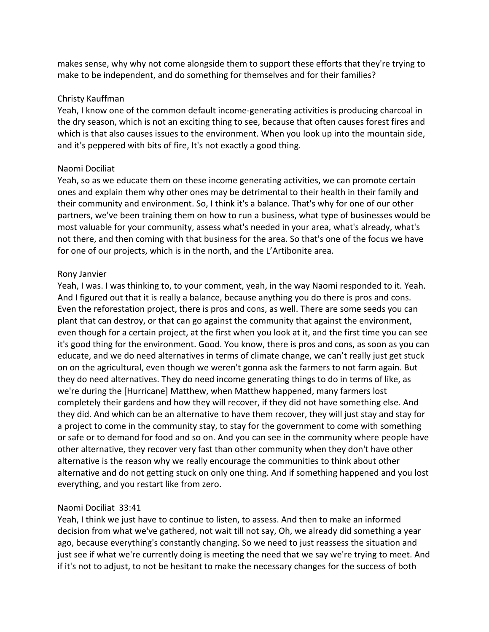makes sense, why why not come alongside them to support these efforts that they're trying to make to be independent, and do something for themselves and for their families?

### Christy Kauffman

Yeah, I know one of the common default income-generating activities is producing charcoal in the dry season, which is not an exciting thing to see, because that often causes forest fires and which is that also causes issues to the environment. When you look up into the mountain side, and it's peppered with bits of fire, It's not exactly a good thing.

# Naomi Dociliat

Yeah, so as we educate them on these income generating activities, we can promote certain ones and explain them why other ones may be detrimental to their health in their family and their community and environment. So, I think it's a balance. That's why for one of our other partners, we've been training them on how to run a business, what type of businesses would be most valuable for your community, assess what's needed in your area, what's already, what's not there, and then coming with that business for the area. So that's one of the focus we have for one of our projects, which is in the north, and the L'Artibonite area.

### Rony Janvier

Yeah, I was. I was thinking to, to your comment, yeah, in the way Naomi responded to it. Yeah. And I figured out that it is really a balance, because anything you do there is pros and cons. Even the reforestation project, there is pros and cons, as well. There are some seeds you can plant that can destroy, or that can go against the community that against the environment, even though for a certain project, at the first when you look at it, and the first time you can see it's good thing for the environment. Good. You know, there is pros and cons, as soon as you can educate, and we do need alternatives in terms of climate change, we can't really just get stuck on on the agricultural, even though we weren't gonna ask the farmers to not farm again. But they do need alternatives. They do need income generating things to do in terms of like, as we're during the [Hurricane] Matthew, when Matthew happened, many farmers lost completely their gardens and how they will recover, if they did not have something else. And they did. And which can be an alternative to have them recover, they will just stay and stay for a project to come in the community stay, to stay for the government to come with something or safe or to demand for food and so on. And you can see in the community where people have other alternative, they recover very fast than other community when they don't have other alternative is the reason why we really encourage the communities to think about other alternative and do not getting stuck on only one thing. And if something happened and you lost everything, and you restart like from zero.

### Naomi Dociliat 33:41

Yeah, I think we just have to continue to listen, to assess. And then to make an informed decision from what we've gathered, not wait till not say, Oh, we already did something a year ago, because everything's constantly changing. So we need to just reassess the situation and just see if what we're currently doing is meeting the need that we say we're trying to meet. And if it's not to adjust, to not be hesitant to make the necessary changes for the success of both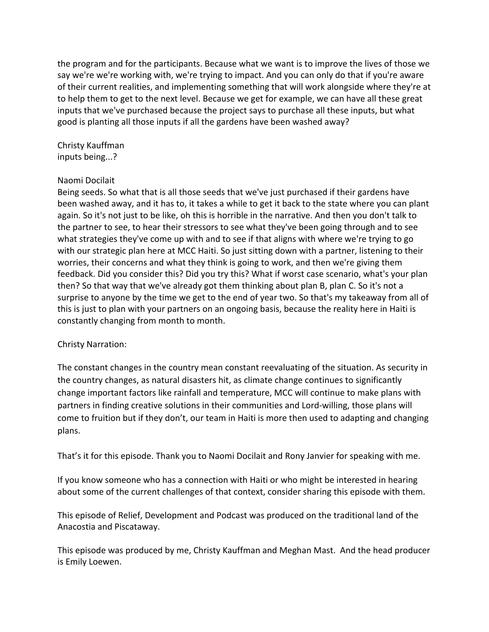the program and for the participants. Because what we want is to improve the lives of those we say we're we're working with, we're trying to impact. And you can only do that if you're aware of their current realities, and implementing something that will work alongside where they're at to help them to get to the next level. Because we get for example, we can have all these great inputs that we've purchased because the project says to purchase all these inputs, but what good is planting all those inputs if all the gardens have been washed away?

Christy Kauffman inputs being...?

### Naomi Docilait

Being seeds. So what that is all those seeds that we've just purchased if their gardens have been washed away, and it has to, it takes a while to get it back to the state where you can plant again. So it's not just to be like, oh this is horrible in the narrative. And then you don't talk to the partner to see, to hear their stressors to see what they've been going through and to see what strategies they've come up with and to see if that aligns with where we're trying to go with our strategic plan here at MCC Haiti. So just sitting down with a partner, listening to their worries, their concerns and what they think is going to work, and then we're giving them feedback. Did you consider this? Did you try this? What if worst case scenario, what's your plan then? So that way that we've already got them thinking about plan B, plan C. So it's not a surprise to anyone by the time we get to the end of year two. So that's my takeaway from all of this is just to plan with your partners on an ongoing basis, because the reality here in Haiti is constantly changing from month to month.

# Christy Narration:

The constant changes in the country mean constant reevaluating of the situation. As security in the country changes, as natural disasters hit, as climate change continues to significantly change important factors like rainfall and temperature, MCC will continue to make plans with partners in finding creative solutions in their communities and Lord-willing, those plans will come to fruition but if they don't, our team in Haiti is more then used to adapting and changing plans.

That's it for this episode. Thank you to Naomi Docilait and Rony Janvier for speaking with me.

If you know someone who has a connection with Haiti or who might be interested in hearing about some of the current challenges of that context, consider sharing this episode with them.

This episode of Relief, Development and Podcast was produced on the traditional land of the Anacostia and Piscataway.

This episode was produced by me, Christy Kauffman and Meghan Mast. And the head producer is Emily Loewen.